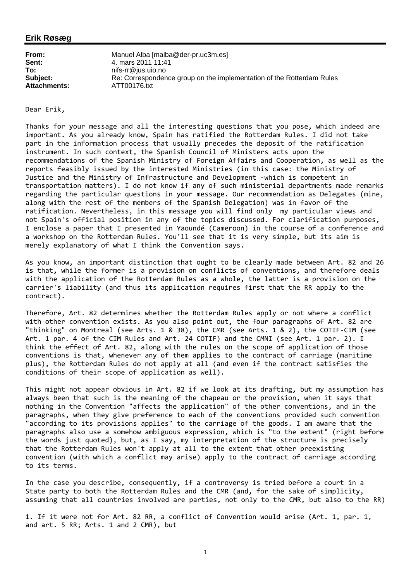## **Erik Røsæg**

| From:               | Manuel Alba [malba@der-pr.uc3m.es]                                    |
|---------------------|-----------------------------------------------------------------------|
| Sent:               | 4. mars 2011 11:41                                                    |
| To:                 | nifs-rr@ius.uio.no                                                    |
| Subject:            | Re: Correspondence group on the implementation of the Rotterdam Rules |
| <b>Attachments:</b> | ATT00176.txt                                                          |

Dear Erik,

Thanks for your message and all the interesting questions that you pose, which indeed are important. As you already know, Spain has ratified the Rotterdam Rules. I did not take part in the information process that usually precedes the deposit of the ratification instrument. In such context, the Spanish Council of Ministers acts upon the recommendations of the Spanish Ministry of Foreign Affairs and Cooperation, as well as the reports feasibly issued by the interested Ministries (in this case: the Ministry of Justice and the Ministry of Infrastructure and Development ‐which is competent in transportation matters). I do not know if any of such ministerial departments made remarks regarding the particular questions in your message. Our recommendation as Delegates (mine, along with the rest of the members of the Spanish Delegation) was in favor of the ratification. Nevertheless, in this message you will find only my particular views and not Spain's official position in any of the topics discussed. For clarification purposes, I enclose a paper that I presented in Yaoundé (Cameroon) in the course of a conference and a workshop on the Rotterdam Rules. You'll see that it is very simple, but its aim is merely explanatory of what I think the Convention says.

As you know, an important distinction that ought to be clearly made between Art. 82 and 26 is that, while the former is a provision on conflicts of conventions, and therefore deals with the application of the Rotterdam Rules as a whole, the latter is a provision on the carrier's liability (and thus its application requires first that the RR apply to the contract).

Therefore, Art. 82 determines whether the Rotterdam Rules apply or not where a conflict with other convention exists. As you also point out, the four paragraphs of Art. 82 are "thinking" on Montreal (see Arts. 1 & 38), the CMR (see Arts. 1 & 2), the COTIF‐CIM (see Art. 1 par. 4 of the CIM Rules and Art. 24 COTIF) and the CMNI (see Art. 1 par. 2). I think the effect of Art. 82, along with the rules on the scope of application of those conventions is that, whenever any of them applies to the contract of carriage (maritime plus), the Rotterdam Rules do not apply at all (and even if the contract satisfies the conditions of their scope of application as well).

This might not appear obvious in Art. 82 if we look at its drafting, but my assumption has always been that such is the meaning of the chapeau or the provision, when it says that nothing in the Convention "affects the application" of the other conventions, and in the paragraphs, when they give preference to each of the conventions provided such convention "according to its provisions applies" to the carriage of the goods. I am aware that the paragraphs also use a somehow ambiguous expression, which is "to the extent" (right before the words just quoted), but, as I say, my interpretation of the structure is precisely that the Rotterdam Rules won't apply at all to the extent that other preexisting convention (with which a conflict may arise) apply to the contract of carriage according to its terms.

In the case you describe, consequently, if a controversy is tried before a court in a State party to both the Rotterdam Rules and the CMR (and, for the sake of simplicity, assuming that all countries involved are parties, not only to the CMR, but also to the RR)

1. If it were not for Art. 82 RR, a conflict of Convention would arise (Art. 1, par. 1, and art. 5 RR; Arts. 1 and 2 CMR), but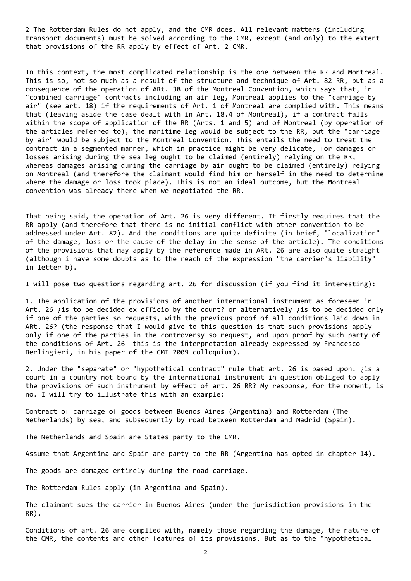2 The Rotterdam Rules do not apply, and the CMR does. All relevant matters (including transport documents) must be solved according to the CMR, except (and only) to the extent that provisions of the RR apply by effect of Art. 2 CMR.

In this context, the most complicated relationship is the one between the RR and Montreal. This is so, not so much as a result of the structure and technique of Art. 82 RR, but as a consequence of the operation of ARt. 38 of the Montreal Convention, which says that, in "combined carriage" contracts including an air leg, Montreal applies to the "carriage by air" (see art. 18) if the requirements of Art. 1 of Montreal are complied with. This means that (leaving aside the case dealt with in Art. 18.4 of Montreal), if a contract falls within the scope of application of the RR (Arts. 1 and 5) and of Montreal (by operation of the articles referred to), the maritime leg would be subject to the RR, but the "carriage by air" would be subject to the Montreal Convention. This entails the need to treat the contract in a segmented manner, which in practice might be very delicate, for damages or losses arising during the sea leg ought to be claimed (entirely) relying on the RR, whereas damages arising during the carriage by air ought to be claimed (entirely) relying on Montreal (and therefore the claimant would find him or herself in the need to determine where the damage or loss took place). This is not an ideal outcome, but the Montreal convention was already there when we negotiated the RR.

That being said, the operation of Art. 26 is very different. It firstly requires that the RR apply (and therefore that there is no initial conflict with other convention to be addressed under Art. 82). And the conditions are quite definite (in brief, "localization" of the damage, loss or the cause of the delay in the sense of the article). The conditions of the provisions that may apply by the reference made in ARt. 26 are also quite straight (although i have some doubts as to the reach of the expression "the carrier's liability" in letter b).

I will pose two questions regarding art. 26 for discussion (if you find it interesting):

1. The application of the provisions of another international instrument as foreseen in Art. 26 ¿is to be decided ex officio by the court? or alternatively ¿is to be decided only if one of the parties so requests, with the previous proof of all conditions laid down in ARt. 26? (the response that I would give to this question is that such provisions apply only if one of the parties in the controversy so request, and upon proof by such party of the conditions of Art. 26 ‐this is the interpretation already expressed by Francesco Berlingieri, in his paper of the CMI 2009 colloquium).

2. Under the "separate" or "hypothetical contract" rule that art. 26 is based upon: ¿is a court in a country not bound by the international instrument in question obliged to apply the provisions of such instrument by effect of art. 26 RR? My response, for the moment, is no. I will try to illustrate this with an example:

Contract of carriage of goods between Buenos Aires (Argentina) and Rotterdam (The Netherlands) by sea, and subsequently by road between Rotterdam and Madrid (Spain).

The Netherlands and Spain are States party to the CMR.

Assume that Argentina and Spain are party to the RR (Argentina has opted-in chapter 14).

The goods are damaged entirely during the road carriage.

The Rotterdam Rules apply (in Argentina and Spain).

The claimant sues the carrier in Buenos Aires (under the jurisdiction provisions in the RR).

Conditions of art. 26 are complied with, namely those regarding the damage, the nature of the CMR, the contents and other features of its provisions. But as to the "hypothetical